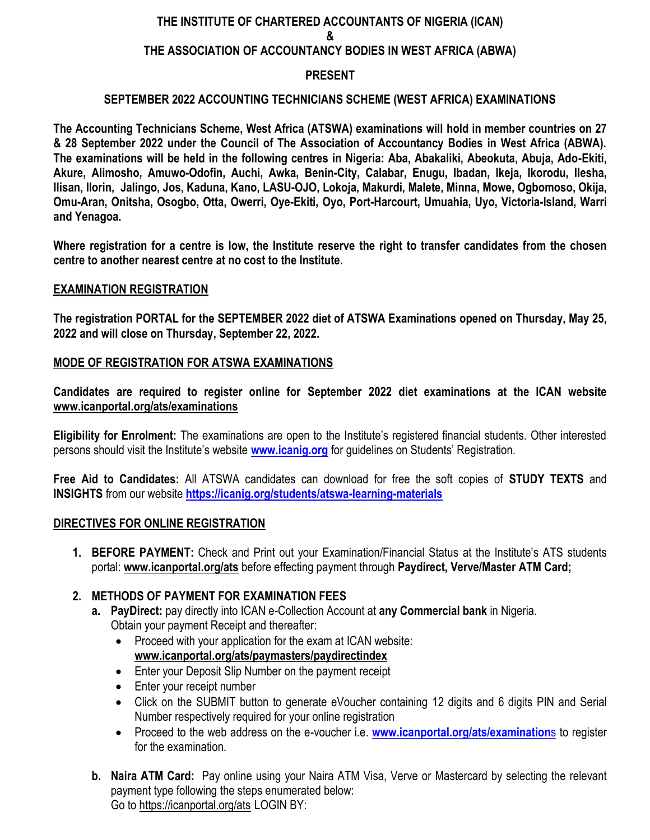# **THE INSTITUTE OF CHARTERED ACCOUNTANTS OF NIGERIA (ICAN) & THE ASSOCIATION OF ACCOUNTANCY BODIES IN WEST AFRICA (ABWA) PRESENT**

#### **SEPTEMBER 2022 ACCOUNTING TECHNICIANS SCHEME (WEST AFRICA) EXAMINATIONS**

**The Accounting Technicians Scheme, West Africa (ATSWA) examinations will hold in member countries on 27 & 28 September 2022 under the Council of The Association of Accountancy Bodies in West Africa (ABWA). The examinations will be held in the following centres in Nigeria: Aba, Abakaliki, Abeokuta, Abuja, Ado-Ekiti, Akure, Alimosho, Amuwo-Odofin, Auchi, Awka, Benin-City, Calabar, Enugu, Ibadan, Ikeja, Ikorodu, Ilesha, Ilisan, Ilorin, Jalingo, Jos, Kaduna, Kano, LASU-OJO, Lokoja, Makurdi, Malete, Minna, Mowe, Ogbomoso, Okija, Omu-Aran, Onitsha, Osogbo, Otta, Owerri, Oye-Ekiti, Oyo, Port-Harcourt, Umuahia, Uyo, Victoria-Island, Warri and Yenagoa.** 

**Where registration for a centre is low, the Institute reserve the right to transfer candidates from the chosen centre to another nearest centre at no cost to the Institute.**

#### **EXAMINATION REGISTRATION**

**The registration PORTAL for the SEPTEMBER 2022 diet of ATSWA Examinations opened on Thursday, May 25, 2022 and will close on Thursday, September 22, 2022.**

#### **MODE OF REGISTRATION FOR ATSWA EXAMINATIONS**

**Candidates are required to register online for September 2022 diet examinations at the ICAN website [www.icanportal.org/ats/examinations](http://www.icanportal.org/ats/examinations)**

**Eligibility for Enrolment:** The examinations are open to the Institute's registered financial students. Other interested persons should visit the Institute's website **[www.icanig.org](http://www.icanig.org/)** for guidelines on Students' Registration.

**Free Aid to Candidates:** All ATSWA candidates can download for free the soft copies of **STUDY TEXTS** and **INSIGHTS** from our website **<https://icanig.org/students/atswa-learning-materials>**

#### **DIRECTIVES FOR ONLINE REGISTRATION**

- **1. BEFORE PAYMENT:** Check and Print out your Examination/Financial Status at the Institute's ATS students portal: **[www.icanportal.org/ats](http://www.icanportal.org/ats)** before effecting payment through **Paydirect, Verve/Master ATM Card;**
- **2. METHODS OF PAYMENT FOR EXAMINATION FEES** 
	- **a. PayDirect:** pay directly into ICAN e-Collection Account at **any Commercial bank** in Nigeria. Obtain your payment Receipt and thereafter:
		- Proceed with your application for the exam at ICAN website: **[www.icanportal.org/ats/paymasters/paydirectindex](http://www.icanportal.org/ats/paymasters/paydirectindex)**
		- Enter your Deposit Slip Number on the payment receipt
		- Enter your receipt number
		- Click on the SUBMIT button to generate eVoucher containing 12 digits and 6 digits PIN and Serial Number respectively required for your online registration
		- Proceed to the web address on the e-voucher i.e. **[www.icanportal.org/ats/examination](http://www.icanportal.org/ats/examinations)**s to register for the examination.
	- **b. Naira ATM Card:** Pay online using your Naira ATM Visa, Verve or Mastercard by selecting the relevant payment type following the steps enumerated below: Go to<https://icanportal.org/ats> LOGIN BY: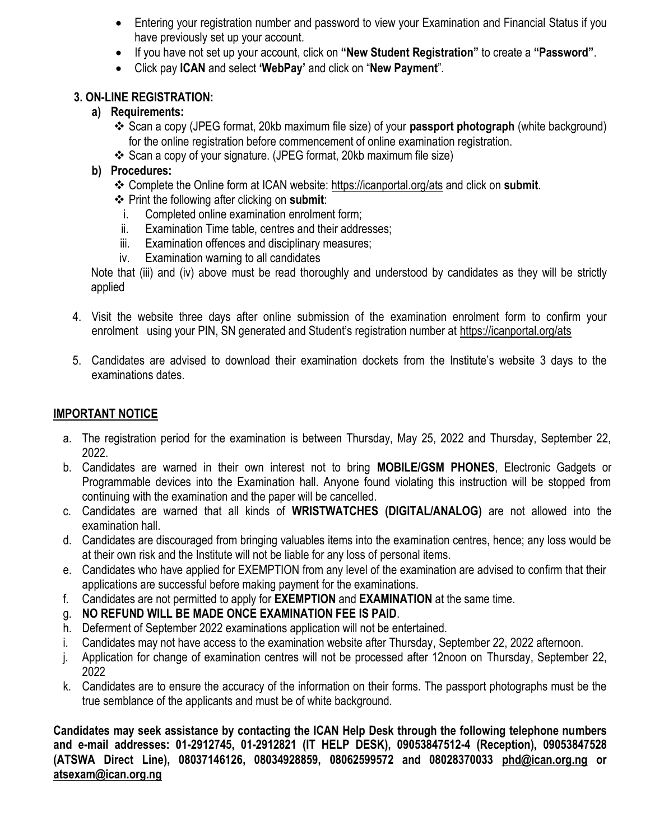- Entering your registration number and password to view your Examination and Financial Status if you have previously set up your account.
- If you have not set up your account, click on **"New Student Registration"** to create a **"Password"**.
- Click pay **ICAN** and select **"WebPay"** and click on "**New Payment**".

### **3. ON-LINE REGISTRATION:**

# **a) Requirements:**

- **❖** Scan a copy (JPEG format, 20kb maximum file size) of your **passport photograph** (white background) for the online registration before commencement of online examination registration.
- Scan a copy of your signature. (JPEG format, 20kb maximum file size)

## **b) Procedures:**

- Complete the Online form at ICAN website:<https://icanportal.org/ats> and click on **submit**.
- Print the following after clicking on **submit**:
	- i. Completed online examination enrolment form;
- ii. Examination Time table, centres and their addresses;
- iii. Examination offences and disciplinary measures;
- iv. Examination warning to all candidates

Note that (iii) and (iv) above must be read thoroughly and understood by candidates as they will be strictly applied

- 4. Visit the website three days after online submission of the examination enrolment form to confirm your enrolment using your PIN, SN generated and Student's registration number at <https://icanportal.org/ats>
- 5. Candidates are advised to download their examination dockets from the Institute's website 3 days to the examinations dates.

# **IMPORTANT NOTICE**

- a. The registration period for the examination is between Thursday, May 25, 2022 and Thursday, September 22, 2022.
- b. Candidates are warned in their own interest not to bring **MOBILE/GSM PHONES**, Electronic Gadgets or Programmable devices into the Examination hall. Anyone found violating this instruction will be stopped from continuing with the examination and the paper will be cancelled.
- c. Candidates are warned that all kinds of **WRISTWATCHES (DIGITAL/ANALOG)** are not allowed into the examination hall.
- d. Candidates are discouraged from bringing valuables items into the examination centres, hence; any loss would be at their own risk and the Institute will not be liable for any loss of personal items.
- e. Candidates who have applied for EXEMPTION from any level of the examination are advised to confirm that their applications are successful before making payment for the examinations.
- f. Candidates are not permitted to apply for **EXEMPTION** and **EXAMINATION** at the same time.
- g. **NO REFUND WILL BE MADE ONCE EXAMINATION FEE IS PAID**.
- h. Deferment of September 2022 examinations application will not be entertained.
- i. Candidates may not have access to the examination website after Thursday, September 22, 2022 afternoon.
- j. Application for change of examination centres will not be processed after 12noon on Thursday, September 22, 2022
- k. Candidates are to ensure the accuracy of the information on their forms. The passport photographs must be the true semblance of the applicants and must be of white background.

**Candidates may seek assistance by contacting the ICAN Help Desk through the following telephone numbers and e-mail addresses: 01-2912745, 01-2912821 (IT HELP DESK), 09053847512-4 (Reception), 09053847528 (ATSWA Direct Line), 08037146126, 08034928859, 08062599572 and 08028370033 [phd@ican.org.ng](mailto:phd@ican.org.ng) or [atsexam@ican.org.ng](mailto:atsexam@ican.org.ng)**